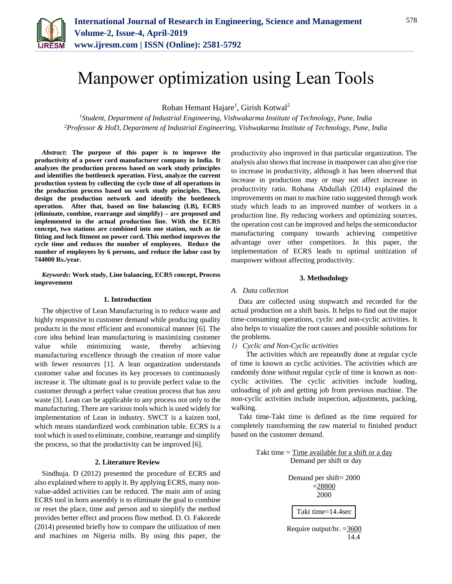

# Manpower optimization using Lean Tools

Rohan Hemant Hajare<sup>1</sup>, Girish Kotwal<sup>2</sup>

*<sup>1</sup>Student, Department of Industrial Engineering, Vishwakarma Institute of Technology, Pune, India 2Professor & HoD, Department of Industrial Engineering, Vishwakarma Institute of Technology, Pune, India*

*Abstract***: The purpose of this paper is to improve the productivity of a power cord manufacturer company in India. It analyzes the production process based on work study principles and identifies the bottleneck operation. First, analyze the current production system by collecting the cycle time of all operations in the production process based on work study principles. Then, design the production network and identify the bottleneck operation. After that, based on line balancing (LB), ECRS (eliminate, combine, rearrange and simplify) – are proposed and implemented in the actual production line. With the ECRS concept, two stations are combined into one station, such as tie fitting and lock fitment on power cord. This method improves the cycle time and reduces the number of employees. Reduce the number of employees by 6 persons, and reduce the labor cost by 744000 Rs./year.**

*Keywords***: Work study, Line balancing, ECRS concept, Process improvement**

#### **1. Introduction**

The objective of Lean Manufacturing is to reduce waste and highly responsive to customer demand while producing quality products in the most efficient and economical manner [6]. The core idea behind lean manufacturing is maximizing customer value while minimizing waste, thereby achieving manufacturing excellence through the creation of more value with fewer resources [1]. A lean organization understands customer value and focuses its key processes to continuously increase it. The ultimate goal is to provide perfect value to the customer through a perfect value creation process that has zero waste [3]. Lean can be applicable to any process not only to the manufacturing. There are various tools which is used widely for implementation of Lean in industry. SWCT is a kaizen tool, which means standardized work combination table. ECRS is a tool which is used to eliminate, combine, rearrange and simplify the process, so that the productivity can be improved [6].

#### **2. Literature Review**

Sindhuja. D (2012) presented the procedure of ECRS and also explained where to apply it. By applying ECRS, many nonvalue-added activities can be reduced. The main aim of using ECRS tool in horn assembly is to eliminate the goal to combine or reset the place, time and person and to simplify the method provides better effect and process flow method. D. O. Fakorede (2014) presented briefly how to compare the utilization of men and machines on Nigeria mills. By using this paper, the productivity also improved in that particular organization. The analysis also shows that increase in manpower can also give rise to increase in productivity, although it has been observed that increase in production may or may not affect increase in productivity ratio. Rohana Abdullah (2014) explained the improvements on man to machine ratio suggested through work study which leads to an improved number of workers in a production line. By reducing workers and optimizing sources, the operation cost can be improved and helps the semiconductor manufacturing company towards achieving competitive advantage over other competitors. In this paper, the implementation of ECRS leads to optimal unitization of manpower without affecting productivity.

#### **3. Methodology**

#### *A. Data collection*

Data are collected using stopwatch and recorded for the actual production on a shift basis. It helps to find out the major time-consuming operations, cyclic and non-cyclic activities. It also helps to visualize the root causes and possible solutions for the problems.

*1) Cyclic and Non-Cyclic activities*

The activities which are repeatedly done at regular cycle of time is known as cyclic activities. The activities which are randomly done without regular cycle of time is known as noncyclic activities. The cyclic activities include loading, unloading of job and getting job from previous machine. The non-cyclic activities include inspection, adjustments, packing, walking.

Takt time-Takt time is defined as the time required for completely transforming the raw material to finished product based on the customer demand.

> Takt time  $=$  Time available for a shift or a day Demand per shift or day



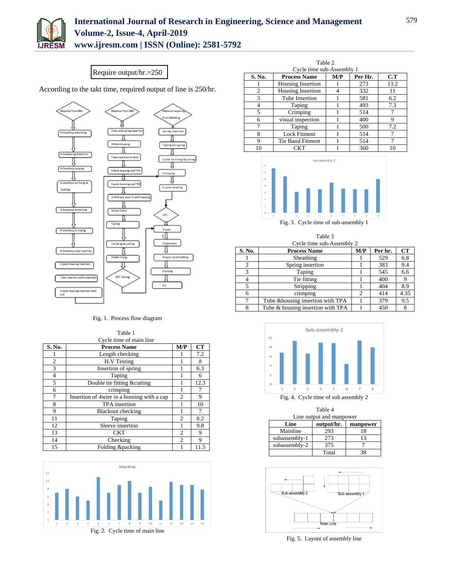

## **International Journal of Research in Engineering, Science and Management Volume-2, Issue-4, April-2019**

**www.ijresm.com | ISSN (Online): 2581-5792** 

### Require output/hr.=250

According to the takt time, required output of line is 250/hr.



#### Fig. 1. Process flow diagram

|                | Table 1                                    |                |      |
|----------------|--------------------------------------------|----------------|------|
|                | Cycle time of main line                    |                |      |
| S. No.         | <b>Process Name</b>                        | M/P            | CT   |
|                | Length checking                            |                | 7.2  |
| $\overline{2}$ | H.V Testing                                |                | 8    |
| 3              | Insertion of spring                        |                | 6.3  |
| 4              | Taping                                     |                | 6    |
| 5              | Double tie fitting &cutting                | 1              | 12.3 |
| 6              | crimping                                   |                | 7    |
| 7              | Insertion of 4wire in a housing with a cap | $\overline{c}$ | 9    |
| 8              | TPA insertion                              |                | 10   |
| 9              | <b>Blackout checking</b>                   |                | 7    |
| 11             | Taping                                     | $\mathfrak{D}$ | 8.2  |
| 12             | Sleeve insertion                           |                | 9.8  |
| 13             | <b>CKT</b>                                 | $\overline{c}$ | 9    |
| 14             | Checking                                   | $\overline{c}$ | 9    |
| 15             | Folding &packing                           |                | 11.5 |



| Table 2 |                           |     |         |      |  |  |
|---------|---------------------------|-----|---------|------|--|--|
|         | Cycle time sub-Assembly 1 |     |         |      |  |  |
| S. No.  | <b>Process Name</b>       | M/P | Per Hr. | C.T  |  |  |
|         | Housing Insertion         |     | 273     | 13.2 |  |  |
| 2       | Housing Insertion         |     | 332     | 11   |  |  |
| 3       | Tube Insertion            |     | 581     | 6.2  |  |  |
| 4       | Taping                    |     | 493     | 7.3  |  |  |
| 5       | Crimping                  |     | 514     |      |  |  |
| 6       | visual inspection         |     | 400     | 9    |  |  |
| 7       | Taping                    |     | 500     | 7.2  |  |  |
| 8       | <b>Lock Fitment</b>       |     | 514     | 7    |  |  |
| 9       | Tie Band Fitment          |     | 514     | 7    |  |  |
| 10      | CKT                       |     | 360     | 10   |  |  |



Fig. 3. Cycle time of sub-assembly 1

| Table 3<br>Cycle time sub-Assembly 2 |                                   |                |         |      |
|--------------------------------------|-----------------------------------|----------------|---------|------|
| S. No.                               | <b>Process Name</b>               | M/P            | Per hr. | CT   |
|                                      | Sheathing                         |                | 529     | 6.8  |
| $\overline{c}$                       | Spring insertion                  |                | 383     | 9.4  |
| 3                                    | Taping                            |                | 545     | 6.6  |
| 4                                    | Tie fitting                       |                | 400     | 9    |
| 5                                    | Stripping                         |                | 404     | 8.9  |
| 6                                    | crimping                          | $\overline{c}$ | 414     | 4.35 |
|                                      | Tube & housing insertion with TPA |                | 379     | 9.5  |
| 8                                    | Tube & housing insertion with TPA |                | 450     | 8    |



| Table 4                  |  |
|--------------------------|--|
| Line output and manpower |  |

| Line          | output/hr. | manpower |
|---------------|------------|----------|
| Mainline      | 293        | 18       |
| subassembly-1 | 273        | 13       |
| subassembly-2 | 375        |          |
|               | Total      | 38       |



Fig. 5. Layout of assembly line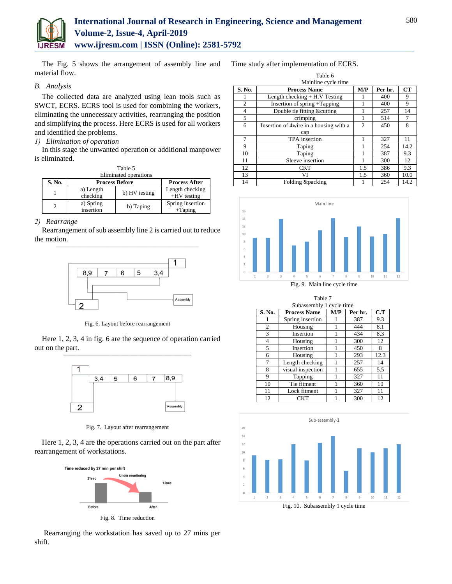

The Fig. 5 shows the arrangement of assembly line and material flow.

#### *B. Analysis*

The collected data are analyzed using lean tools such as SWCT, ECRS. ECRS tool is used for combining the workers, eliminating the unnecessary activities, rearranging the position and simplifying the process. Here ECRS is used for all workers and identified the problems.

#### *1) Elimination of operation*

In this stage the unwanted operation or additional manpower is eliminated.  $T = 11.5$ 

| таріе э |                        |               |                                  |  |  |  |
|---------|------------------------|---------------|----------------------------------|--|--|--|
|         | Eliminated operations  |               |                                  |  |  |  |
| S. No.  | <b>Process Before</b>  |               | <b>Process After</b>             |  |  |  |
|         | a) Length<br>checking  | b) HV testing | Length checking<br>$+HV$ testing |  |  |  |
| 2       | a) Spring<br>insertion | b) Taping     | Spring insertion<br>$+$ Taping   |  |  |  |

#### *2) Rearrange*

Rearrangement of sub assembly line 2 is carried out to reduce the motion.



Fig. 6. Layout before rearrangement

Here 1, 2, 3, 4 in fig. 6 are the sequence of operation carried out on the part.



Fig. 7. Layout after rearrangement

Here 1, 2, 3, 4 are the operations carried out on the part after rearrangement of workstations.



Rearranging the workstation has saved up to 27 mins per shift.

Time study after implementation of ECRS.

| Table 6             |                                        |                |         |      |  |  |
|---------------------|----------------------------------------|----------------|---------|------|--|--|
| Mainline cycle time |                                        |                |         |      |  |  |
| S. No.              | <b>Process Name</b>                    | M/P            | Per hr. | CT   |  |  |
|                     | Length checking $+ H.V$ Testing        |                | 400     | 9    |  |  |
| $\overline{2}$      | Insertion of spring +Tapping           |                | 400     | 9    |  |  |
| 4                   | Double tie fitting &cutting            |                | 257     | 14   |  |  |
| 5                   | crimping                               |                | 514     |      |  |  |
| 6                   | Insertion of 4wire in a housing with a | $\overline{c}$ | 450     | 8    |  |  |
|                     | cap                                    |                |         |      |  |  |
| 7                   | TPA insertion                          |                | 327     | 11   |  |  |
| 9                   | Taping                                 |                | 254     | 14.2 |  |  |
| 10                  | Taping                                 |                | 387     | 9.3  |  |  |
| 11                  | Sleeve insertion                       |                | 300     | 12   |  |  |
| 12                  | <b>CKT</b>                             | 1.5            | 386     | 9.3  |  |  |
| 13                  | VI                                     | 1.5            | 360     | 10.0 |  |  |
| 14                  | Folding &packing                       |                | 254     | 14.2 |  |  |



Fig. 9. Main line cycle time

| Table 7        |                          |     |         |      |
|----------------|--------------------------|-----|---------|------|
|                | Subassembly 1 cycle time |     |         |      |
| S. No.         | <b>Process Name</b>      | M/P | Per hr. | C.T  |
|                | Spring insertion         |     | 387     | 9.3  |
| $\overline{c}$ | Housing                  | 1   | 444     | 8.1  |
| 3              | Insertion                |     | 434     | 8.3  |
| $\overline{4}$ | Housing                  |     | 300     | 12   |
| 5              | Insertion                |     | 450     | 8    |
| 6              | Housing                  | 1   | 293     | 12.3 |
| 7              | Length checking          |     | 257     | 14   |
| 8              | visual inspection        | 1   | 655     | 5.5  |
| 9              | Tapping                  |     | 327     | 11   |
| 10             | Tie fitment              | 1   | 360     | 10   |
| 11             | Lock fitment             |     | 327     | 11   |
| 12             | <b>CKT</b>               |     | 300     | 12   |